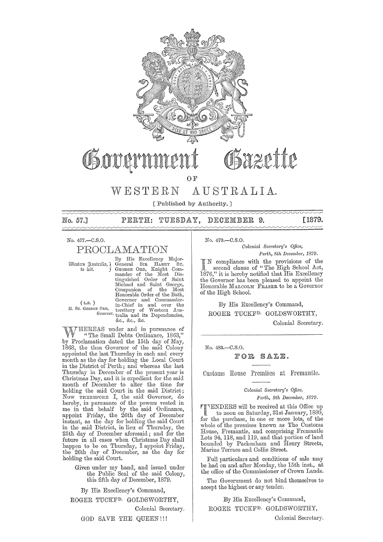

# Sygptip

## **OF**

# WESTERN AUSTRALIA.

[Published by Authority. ]

No. 57.1

DECEMBER 9. PERTH: TUESDAY,

No. 477.-C.S.O.

## PROOLAMATION

(L.S. )<br>H. Sr. GEORGE ORD,

By His Excellency Major- ~tt;;l£m ~ll;;tXiXlil1,"( General SIR HARRY ST. to toit. j GEORGE ORD, Knight Com mander of the Most Dis-<br>tinguished Order of Saint<br>Michael and Saint George, Companion of the Most<br>Honorable Order of the Bath, (L.S.) Governor and Commander-<br>
H. Sr. GEORGE ORD, territory of Western Aus-*GO"Cm01·.* tralia and its Dependencies, &e., &c., &c.

HEREAS under and in pursuance of "The Small Debts Ordinance, 1863," by Proclamation dated the 15th day of May, 1868, the then Governor of the said Colony appointed the last Thursday in each and every month as the day for holding the Local Court in the District of Perth; and whereas the last Thursday in December of the present year is Christmas Day, and it is expedient for the said month of December to alter the time for holding the said Court in the said District; Now THEREFORE I, the said Governor, do hereby, in pursuance of the powers vested in me in that behalf by the said Ordinance, appoint Friday, the 26th day of December instant, as the day for holding the said Court in the said District, in lieu of Thursday, the 25th day of December aforesaid; and for the future in all cases when Christmas Day shall happen to be on Thursday, I appoint Friday, the 26th day of December, as the day for holding the said Court.

> Given under my hand., and issued under the Public Seal of the said Colony, this fifth day of December, 1879.

By His Excellency's Command, ROGER TUCKFD. GOLDSWORTHY,

Colonial Secretary.

GOD SAVE THE QUEEN!!!

No. 479.-C.S.O.

*Oolonial Secl'etary's Office, Perth, 8th December, 1879.* 

compliance with the provisions of the second clause of "The High School Act, 1876," it is hereby notified that His Excellency the Governor has been pleased to appoint the Honorable MALCOLM FRASER to be a Governor of the High School.

By His Excellency's Command,

ROGER TUCKFD. GOLDSWORTHY,

Colonial Secretary.

[1879.

No. 483.-C.S.O.

#### FOR SALE.

Customs House Premises at Fremantle,

*Colonial Seoretary's Office,* 

*Perth, 9th December, 1879.* 

FI'lENDERS will be received at this Office up to noon on Saturday, 31st January, 1880, for the purchase, in one or more lots, of the whole of the premises known as The Customs House, Fremantle, and comprising Fremantle Lots 94, 118, and 119, and that portion of land bounded by Packenham and Henry Streets, Marine Terrace and Collie Street.

Full particulars and conditions of sale may be had on and after Monday, the 15th inst., at the office of the Commissioner of Crown Lands.

The Government do not bind themselves to accept the highest or any tender.

By His Excellency's Command,

ROGER TUCKFD. GOLDSWORTHY,

Colonial Secretary.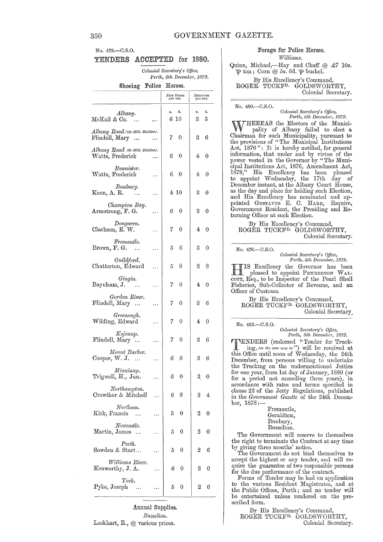## No. 478.-C.S.O. TENDERS ACCEPTED for 1880.

Colonial Secretary's Office, Perth, 6th December, 1879.

Shoeing Police Horses.

|                                                                   |   |       | New Shoes<br>per set. | Removes<br>per set. |         |
|-------------------------------------------------------------------|---|-------|-----------------------|---------------------|---------|
| Albany.<br>McKail & Co.<br>$\rightarrow \rightarrow \rightarrow$  |   | s.    | đ.<br>$6\;10$         | 8.<br>3             | d.<br>5 |
| $Albany\ Road$ (131-Mile Station).<br>Flindell, Mary<br>$\ddotsc$ |   | 7     | 0                     | 3.                  | 6       |
| $Albany\ Road$ (36-Mile Station).<br>Watts, Frederick             |   | $6 -$ | 0                     | 4                   | 0       |
| Bannister.<br>Watts, Frederick                                    | . | 6     | 0                     | 4                   | 0       |
| Bunbury.<br>Keen, A. R.                                           | . |       | 410                   | 3                   | 0       |
| Champion Bay.<br>Armstrong, F. G.                                 |   | 6     | 0                     | 3                   | 0       |
| Dongarra.<br>Clarkson, E. W.                                      | . | 7     | 0                     | 4                   | 0       |
| Fremantle.<br>Brown, F. G.                                        | . | 5.    | 6                     | 3                   | 0       |
| Guildford.<br>Chatterton, Edward                                  | . | 5     | 8                     | 2                   | 8       |
| Gingin.<br>Baynham, J.                                            | . | 7     | 0                     | 4                   | 0       |
| Gordon River.<br>Flindell, Mary                                   |   | 7     | 0                     | 3                   | 6       |
| Greenough.<br>Wilding, Edward                                     | . | 7     | 0                     | 4                   | 0       |
| Kojonup.<br>Flindell, Mary                                        | . | 7     | 0                     | 3                   | 6       |
| Mount Barker.<br>Cooper, W. J.                                    | . | 6     | 6                     | 3                   | 6       |
| Minninup.<br>Trigwell, H., Jun.                                   |   | 6     | 0                     | 3                   | 0       |
| Northampton.<br>Crowther & Mitchell                               |   | 6     | 8                     | 3                   | 4       |
| Northam.<br>Kirk, Francis                                         |   | 5     | 0                     | 2                   | 0       |
| New castle.<br>Martin, James<br>$\dddotsc$                        |   | 5     | 0                     | 2                   | 0       |
| Perth.<br>Sowden & Start                                          |   | 5     | 0                     | 2                   | 6       |
| Williams River.<br>Kenworthy, J. A.                               |   | 6     | 0                     | 3                   | 0       |
| York.<br>Pyke, Joseph<br>$\overline{\phantom{a}}$ .               |   | 5     | 0                     | 2                   | 6       |

Annual Supplies. Busselton. Lockhart, R., @ various prices.

Forage for Police Horses. Williams.

Quinn, Michael,—Hay and Chaff @ £7 10s.  $\overline{\psi}$  ton; Corn @ 5s. 6d.  $\overline{\psi}$  bushel. By His Excellency's Command,<br>ROGER TUCKF<sup>D.</sup> GOLDSWORTHY,

Colonial Secretary.

#### No. 480.-C.S.O.

Colonial Secretary's Office,<br>Perth, 5th December, 1879.

THEREAS the Electors of the Municipality of Albany failed to elect a Chairman for such Municipality, pursuant to<br>the provisions of "The Municipal Institutions<br>Act, 1876": It is hereby notified, for general information, that under and by virtue of the power vested in the Governor by "The Municipal Institutions Act, 1876, Amendment Act, 1878," His Excellency has been pleased<br>to appoint Wednesday, the 17th day of<br>December instant, at the Albany Court House, as the day and place for holding such Election, as and His Excellency has nominated and appointed GUSTAVUS E. C. HARE, Esquire, Government Resident, the Presiding and Returning Officer at such Election.

By His Excellency's Command, ROGER TUCKF<sup>D.</sup> GOLDSWORTHY, Colonial Secretary.

No. 476 .- C.S.O.

Colonial Secretary's Office, Perth, 4th December, 1879.

IS Excellency the Governor has been pleased to appoint PEMBERTON WAL-COTT, Esq., to be Inspector of the Pearl Shell<br>Fisheries, Sub-Collector of Revenue, and an<br>Officer of Customs.

By His Excellency's Command, ROGER TUCKF<sup>D.</sup> GOLDSWORTHY. Colonial Secretary

#### No. 482 .- C.S.O.

Colonial Secretary's Office,<br>Perth, Sth December, 1879.

THENDERS (endorsed "Tender for Truck-<br>ing, (as the case may be") will be received at<br>this Office until noon of Wednesday, the 24th December, from persons willing to undertake the Trucking on the undermentioned Jetties for one year, from 1st day of January, 1880 (or<br>for a period not exceeding three years), in accordance with rates and terms specified in clause 22 of the Jetty Regulations, published in the Government Gazette of the 24th December, 1878:

- Fremantle, Geraldton, Bunbury,
- Busselton.

The Government will reserve to themselves the right to terminate the Contract at any time by giving three months' notice.

The Government do not bind themselves to accept the highest or any tender, and will require the guarantee of two responsible persons

for the due performance of the contract.<br>Forms of Tender may be had on application<br>to the various Resident Magistrates, and at the Public Offices, Perth; and no tender will be entertained unless rendered on the prescribed form.

By His Excellency's Command, ROGER TUCKF<sup>D.</sup> GOLDSWORTHY, Colonial Secretary.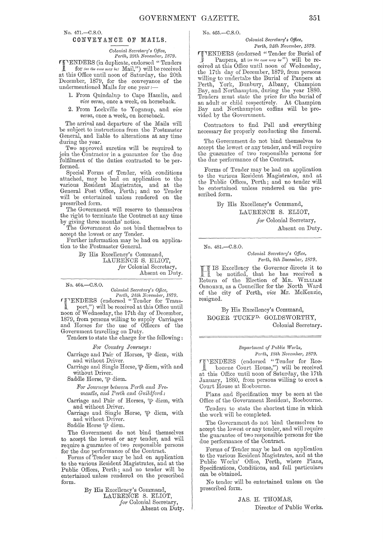No. 471.-C.S.O.

## CONVEY ANCE OF MAILS.

*Colonial Secretary's Office,* 

*Puth, 29th November, 1879.* 

rr'ENDERS (in duplicate, endorsed" Tenders for *(as the case may be)* Mail,") will be received at this Office until noon of Saturday, the 20th December, 1879, for the conveyance of the undermentioned Mails for one year;-

1. From Quindalup to Cape Hamlin, and *vice versa*, once a week, on horseback.

2. From Lockville to Yoganup, and *vice versa*, once a week, on horseback.

The arrival and departure of the Mails will be subject to instructions from the Postmaster General, and liable to alterations at any time during the year.

Two approved sureties will be required to join the Contractor in a guarantee for the due fulfilment of the dnties contracted to be performed.

Special Forms of Tender, with conditions attached, may be had on application to the various Resident Magistrates, and at the General Post Office, Perth; and no Tender will be entertained unless rendered on the preseribed form.

The Government will reserve to themselves the right to terminate the Contract at any time by giving three months' notice.

The Government do not bind themselves to accept the lowest or any Tender.

Further information may be had on application to the Postmaster General.

> By His Excellency's Command, LAURENCE S. ELIOT, for Colonial Secretary, Absent on Duty.

No. 464.-C.S.O.

*Colonial EieC)'etal'Y's Office, Perth, 24th November, 1879.*  '["ENDERS (endorsed" 'fender for Transport,") will be received at this Office until

noon of Wednesday, the 17th day of December, 1879, from persons willing to supply Oarriages and Horses for the use of Officers of the Government travelling on Duty.

Tenders to state the charge for the following:

 $For$  *Country Journeys:* 

Carriage and Pair of Horses,  $\mathfrak{P}$  diem, with and without Driver.

Carriage and Single Horse,  $\mathcal P$  diem, with and without Driver.

Saddle Horse,  $\psi$  diem.

 $For\, Journeys\, between\, Perl\, and\, 2.$ *mantle, and Perth and Guildford:* 

Carriage and Pair of Horses, *"17'* diem, with and without Driver.

Carriage and Single Horse,  $\mathfrak{P}$  diem, with and without Driver.

Saddle Horse  $\Psi$  diem.

The Government do not bind themselves to accept the lowest or any tender, and will require a guarantee of two responsible persons for the due performance of the Oontract.

Forms of Tender may be had on application to the various Resident Magistrates, and at the Public Offices, Perth; and no tender will be entertained unless rendered on the prescribed form.

> By His Excellency's Oommand, LAURENCE S. ELIOT, *for* Colonial Secretary, Absent on Duty.

No. 465.-C.8.0.

*Colonial Secretary's Office, Perth, 24th November, 1879.* 

**FIENDERS** (endorsed "Tender for Burial of : Paupers, at *(as the case may be")* will be received at this Office until noon of Wednesday, the 17th day of December, 1879, from persons willing to undertake the Burial of Paupers at Perth, York, Bunbury, Albany, Champion Bay, and Northampton, during the year 1880. Tenders must state the price for the burial of an adult or child respectively. At Champion Bay and Northampton coffins will be provided by the Government.

Contractors to find Pall and everything necessary for properly conducting the funeral.

The Government do not bind themselves to accept the lowest or any tender, and will require the guarantee of two responsible persons for the due performance of the Contract.

Forms of Tender may be had on application to the various Resident Magistrates, and at the Public Offices, Perth; and no tender will be entertained unless rendered on the prescribed form.

> By His Excellency's Command, LAURENCE S. ELIOT, for Colonial Secretary,

> > Absent on Duty.

No. 481.-C.S.O.

*Colonial Secretary's Office, Pm·th, 8th December,* 1879.

IS Excellency the Governor directs it to be notified, that he has received a Return of the Election of Mr. WILLIAM OSBORNE, as a Councillor for the North Ward of the city of Perth, *vice* Mr. McKenzie, resigned.

By His Excellency's Command, ROGER TUCKF<sup>D.</sup> GOLDSWORTHY, Colonial Secretary.

#### $Department of Public Works,$ *Perth, 18th November, 1879.*

 $\mathcal{T}$  TENDERS (endorsed "Tender for Roe-I bourne Court House,") will be received at this Office until noon of Saturday, the 17th January, 1880, from persons willing to erect a Court House at Roebourne.

Plans and Specification may be seen at the Office of the Government Resident, Roebourne.

Tenders to state the shortest time in which the work will be completed.

The Government do not bind themselves to accept the lowest or any tender, and will require the guarantee of two responsible persons for the due performance of the Contract.

Forms of Tender may be had on application to the various Resident Magistrates, and at the Public Works' Office, Perth, where Plans, Specifications, Conditions, and full particulars can be obtained.

No tender will be entertained unless on the prescribed form.

JAS. H. THOMAS,

Director of Public Works.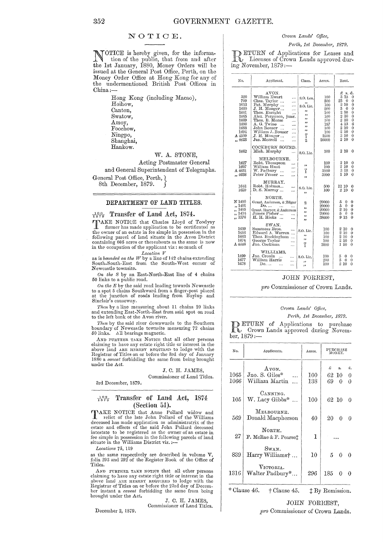#### NOTIOE.

NOTICE is hereby given, for the informa-<br>tion of the public, that from and after<br>the let Laurence 1990. Moreo Orders will be the 1st January, 1880, Money Orders will be issued at the General Post Office, Perth, on the Money Order Office at Hong' Kong for any of the undermentioned British Post Offices in China:-

> Hong Kong (including Macao), Hoihow, Canton, Swatow, Amoy, Foochow, Ningpo, Shanghai, Hankow.

#### W. A. STONE,

Acting Postmaster General and General Superintendent of Telegraphs. General Post Office, Perth,  $\}$ 

8th December, 1879.

#### DEPARTMENT OF LAND TITLES.

<sup>197</sup><sub>579</sub> Transfer of Land Act, 1874.<br> **TRAKE NOTICE** that Charles Lloyd of Toodyay TAKE NOTICE that Charles Lloyd of Toodyay farmer has made application to be certificated as the owner of an estate in fee simple in possession in the following pareel of land situate in the Avon District containing 605 acr in the occupation of the applicant viz: so much of

*Location V*  as is *bounded on the TV* by a line of 142 chains extending South-South-East hom the South-West corner of Newcastle townsite.

On the S by an East-North-East line of 4 chains 50 links to a public road.

 $On the E$  by the said road leading towards Newcastle to a spot 5 chains Sonthward from a finger-post placed at the junction of roads leading from Baylup and Sinclair's causeway.

Then by a line measuring about 11 chains 20 links and extending East-North-East from said spot on road to the left bank of the Avon river.

*Then* by the said river downwards to the Southern boundary of Newcastle townsite measuring 72 chains 50 links. All bearings magnetic.

AND FURTHER TAKE NOTICE that all other persons claiming to have any estate right title or interest in the<br>above land ARE HEREBY REQUIRED to lodge with the<br>Registrar of Titles on or before the 3rd day of January 1880 a *oaveat* forbidding the same from being brought under the Act.

> J. C. H. JAMES, Commissioner of Land Titles.

3rd December, 1879.

#### $\frac{102}{1879}$ Transfer of Land Act, 1874 (Section 51).

TAKE NOTICE that Anne Pollard widow and<br>relict of the late John Pollard of the Williams<br>deceased has made application as administratrix of the<br>estate and effects of the said John Pollard deceased<br>intestate to be registered

*Locations* 76, 119

December 2, 1879.

as the same respectively are described in volume V. folia 293 and 292 of the Register Book of the Office of Titles.

AND FURTHER TAKE NOTICE that all other persons claiming to have any estate right title or interest in the above land ARE HEREBY REQUIRED to lodge with the Registrar of Titles on or before the 231d day of Decem-<br>ber instant a *caveat* forbidding the same from being<br>brought under the Act.

J. C. H. JAMES, Commissioner of Land Titles.

#### Crown Lands' Office,

Perth, 1st December, 1879.<br> **B** ETURN of Applications for Leases and<br> **D** Licenses of Crown Lands approved during November, 1879:-

| No.                                                                                             | Applicant.                                                                                                                                                                                                                                                                                                               | Class.                                                                                                                      | Acres.                                                                              | Rent.                                                                                                                                                                                                                                                                                       |
|-------------------------------------------------------------------------------------------------|--------------------------------------------------------------------------------------------------------------------------------------------------------------------------------------------------------------------------------------------------------------------------------------------------------------------------|-----------------------------------------------------------------------------------------------------------------------------|-------------------------------------------------------------------------------------|---------------------------------------------------------------------------------------------------------------------------------------------------------------------------------------------------------------------------------------------------------------------------------------------|
| 320<br>799<br>1653<br>1660<br>1661<br>1665<br>1669<br>1680<br>1683<br>1694<br>A 4509<br>,, 4623 | AVON.<br>William Ewart<br><br>Chas. Taylor<br><br>Pat. Murphy<br>$\cdots$<br>J. H. Monger<br><br>Thos. Enright<br>$\cdots$<br>Alex. Ferguson, junr.<br>Thos. B. Morse<br>.<br>A. G. Twine<br><br>$\ddotsc$<br>John Bouser<br>$\cdots$<br><br>William J. Bouser<br>.<br>J. H. Monger<br><br>Jas. Morrell<br>$\ddotsc$<br> | S.O. Lea.<br>,,<br>S.O. Lic.<br>,,<br>,,<br>$\bullet$<br>$\overline{\phantom{a}}$<br>$\bullet$<br>,,<br>ï<br>$\overline{2}$ | 100<br>500<br>100<br>200<br>100<br>100<br>100<br>187<br>100<br>100<br>3500<br>20000 | £<br>s. d.<br>3<br>15<br>0<br>250<br>$\mathbf 0$<br>$2\,$ $10$<br>$\bf{0}$<br>5<br>$\theta$<br>$\overline{0}$<br>$\frac{2}{2}\frac{10}{10}$<br>$\mathbf 0$<br>$\mathbf 0$<br>$\overline{2}$ 10<br>0<br>6<br>413<br>210<br>$\theta$<br>$2\overline{10}$<br>$\theta$<br>3 10<br>0<br>210<br>0 |
| 1662                                                                                            | COCKBURN SOUND.<br>Mich. Murphy<br>                                                                                                                                                                                                                                                                                      | S.O. Lie.                                                                                                                   | 100                                                                                 | $2\,10$<br>0                                                                                                                                                                                                                                                                                |
| 1627<br>1697<br>A 4631<br>,, 4638                                                               | MELBOURNE.<br>Robt. Thompson<br>William Hunt<br>$\ddotsc$<br>W. Padbury<br>$\cdots$<br>Peter Fraser<br>                                                                                                                                                                                                                  | 53<br>ï<br>,,                                                                                                               | 100<br>100<br>3900<br>3000                                                          | $2\,10$<br>0<br>2 10<br>0<br>3 18<br>0<br>1 10<br>0                                                                                                                                                                                                                                         |
| 1642<br>1659                                                                                    | MURRAY.<br>Robt. Holmes<br><br>D. S. Murray<br>                                                                                                                                                                                                                                                                          | S.O. Lic.<br>,,                                                                                                             | 500<br>100                                                                          | 12 10<br>0<br>2 10<br>$\theta$                                                                                                                                                                                                                                                              |
| N 1400<br>,, 1401<br>,, 1405<br>,, 1434<br>,, 1576                                              | NORTH.<br>Grant, Anderson, & Edgar<br>Do.<br><br>Grant, Harper, & Anderson<br>James Fisher<br>H. H. Hicks                                                                                                                                                                                                                | $\overline{\mathbf{2}}$<br>,,<br>$\overline{\phantom{a}}$<br>,,<br>,,                                                       | 20000<br>20000<br>20000<br>20000<br>38600                                           | 5<br>0<br>0<br>5<br>$\theta$<br>$\ddot{\phantom{0}}$<br>2<br>10<br>$\mathbf 0$<br>5<br>- 0<br>0<br>9 15<br>$\theta$                                                                                                                                                                         |
| 1639<br>1656<br>1663<br>1674<br>A 4646                                                          | SWAN.<br>Summers Bros.<br><br>Edward A. Warren<br>Thos. Buckingham<br>George Taylor<br>$\ddotsc$<br>Jno. Cockman<br>                                                                                                                                                                                                     | S.O. Lio.<br>,<br>,,<br>ï                                                                                                   | 100<br>100<br>100<br>100<br>3000                                                    | 2 10<br>0<br>210<br>$\bf{0}$<br>210<br>$\theta$<br>210<br>0<br>110<br>0                                                                                                                                                                                                                     |
| 1499<br>1677<br>1678                                                                            | WILLIAMS.<br>Jno. Cronin<br>$\cdots$<br>$\cdots$<br>William Harris<br>$\cdots$<br>$Do.$<br><br>$\cdots$                                                                                                                                                                                                                  | S.O. Lic.<br>دد<br>,,                                                                                                       | 100<br>200<br>100                                                                   | 5<br>0<br>0<br>5<br>$\Omega$<br>0<br>2 10<br>0                                                                                                                                                                                                                                              |

#### JOHN FORREST,

*pro* Commissioner of Crown Lands.

#### *Crown Lands' O.fjice,*

#### Perth, 1st December, 1879.

**RETURN** of Applications to purchase Crown Lands approved during November, 1879:

| No.          | Applicants.                                                         | Acres.         |                 | PURCHASE<br>MONEY. |              |
|--------------|---------------------------------------------------------------------|----------------|-----------------|--------------------|--------------|
| 1065<br>1066 | Avon.<br>$J_{\text{no}}$ . S. Giles*<br>William Martin<br>$\ddotsc$ | $100\,$<br>138 | £<br>69         | s.<br>62 10<br>0   | d.<br>0<br>0 |
| 105          | CANNING.<br>W. Lacy Gibbs*                                          | 100            | 62 10           |                    | 0            |
| 569          | MELBOURNE.<br>Donald Macpherson                                     | 40             | 20              | 0                  | 0            |
| 27           | NORTH.<br>F. McRae & F. Pearset                                     | 1              |                 |                    |              |
| 839          | Swan.<br>Harry Williams†                                            | 10             | $\mathbf{5}$    | $\Omega$           | $\Omega$     |
| $1316\,$     | VICTORIA.<br>Walter Padbury*                                        | 296            | 185             | 0                  | 0            |
|              | * Clause 46.<br>† Clause 45.                                        |                | 1 By Remission. |                    |              |

#### JOHN FORREST,

*pro* Commissioner of Crown Lands.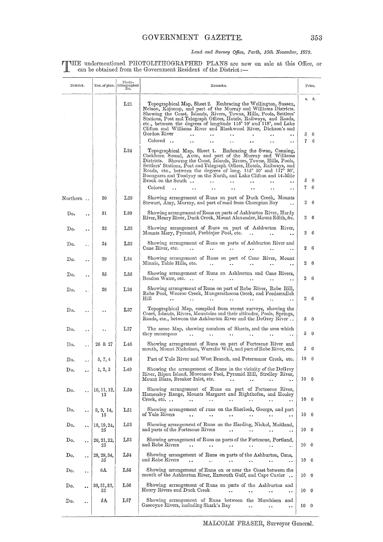## Land and Survey Office, Perth, 10th November, 1879.

TTHE undermentioned PHOTOLITHOGRAPHED PLANS are now on sale at this Office, or can be obtained from the Government Resident of the District:-

| District. |                      |                   | Photo-<br>Nos. of plan. $\left  \begin{array}{c} \text{lithographed} \\ \text{No.} \end{array} \right $ | Remarks.                                                                                                                                                                                                                                                                                                                                                                                                                                                          |                 | Price.          |
|-----------|----------------------|-------------------|---------------------------------------------------------------------------------------------------------|-------------------------------------------------------------------------------------------------------------------------------------------------------------------------------------------------------------------------------------------------------------------------------------------------------------------------------------------------------------------------------------------------------------------------------------------------------------------|-----------------|-----------------|
|           |                      |                   | L21                                                                                                     | Topographical Map, Sheet 2. Embracing the Wellington, Sussex,<br>Nelson, Kojonup, and part of the Murray and Williams Districts.<br>Showing the Coast, Islands, Rivers, Towns, Hills, Pools, Settlers'<br>Stations, Post and Telegraph Offices, Hotels, Railways, and Roads,<br>etc., between the degrees of longitude $115^{\circ}$ 10' and $118^{\circ}$ , and Lake<br>Clifton and Williams River and Blackwood River, Dickson's and<br>Gordon River<br>Colored | 5<br>7          | s. d.<br>0<br>6 |
|           |                      |                   | L24                                                                                                     | Topographical Map, Sheet 1.<br>Embracing the Swan, Canning,<br>Cockburn Sound, Avon, and part of the Murray and Williams<br>Districts. Showing the Coast, Islands, Rivers, Towns, Hills, Pools,<br>Settlers' Stations, Post and Telegraph Offices, Hotels, Railways, and<br>Roads, etc., between the degrees of long. $115^{\circ}$ 30' and $117^{\circ}$ 30',<br>Boongarra and Toodyay on the North, and Lake Clifton and 14-Mile<br>Brook on the South          | 5               | 0               |
| $\Gamma$  |                      | 30                | L29                                                                                                     | Colored<br>Showing arrangement of Runs on part of Duck Creek, Mounts                                                                                                                                                                                                                                                                                                                                                                                              | 7               | 6               |
| Do.       |                      | 31                | $_{\rm L30}$                                                                                            | Stewart, Amy, Murray, and part of road from Champion Bay<br>Showing arrangement of Runs on parts of Ashburton River, Hardy                                                                                                                                                                                                                                                                                                                                        | 2               | -6              |
| Do.       | $\ddot{\phantom{a}}$ | 33                | L32                                                                                                     | River, Henry River, Duck Creek, Mount Alexander, Mount Edith, &c.<br>Showing arrangement of Runs on part of Ashburton River,                                                                                                                                                                                                                                                                                                                                      | 2               | 6               |
| Do.       | $\ddot{\phantom{a}}$ | 34                | $_{\rm L33}$                                                                                            | Mounts Mary, Pyramid, Peebinjee Pool, etc.<br>$\ddotsc$<br>Showing arrangement of Runs on parts of Ashburton River and                                                                                                                                                                                                                                                                                                                                            | 2               | -6<br>-6        |
| Do.       |                      | 29                | L34                                                                                                     | Cane River, etc.<br>$\ddot{\phantom{a}}$<br>Showing arrangement of Runs on part of Cane River, Mount<br>Minnie, Table Hills, etc.                                                                                                                                                                                                                                                                                                                                 | 2<br>2          | 6               |
| Do.       | . .                  | 35                | L35                                                                                                     | $\ddot{\phantom{a}}$<br>$\ddot{\phantom{a}}$<br>Showing arrangement of Runs on Ashburton and Cane Rivers,<br>Beadon Water, etc<br>$\ddot{\phantom{a}}$<br>$\ddot{\phantom{a}}$                                                                                                                                                                                                                                                                                    | 2               | -6              |
| Do.       |                      | 28                | L36                                                                                                     | Showing arrangement of Runs on part of Robe River, Robe Hill,<br>Robe Pool, Wooroo Creek, Mungarathoona Creek, and Peedamullah<br>$_{\rm Hill}$                                                                                                                                                                                                                                                                                                                   | 2.              | - 6             |
| Do.       |                      | . .               | $^{\rm L37}$                                                                                            | Topographical Map, compiled from recent surveys, showing the<br>Coast, Islands, Rivers, Mountains and their altitudes, Pools, Springs,<br>Roads, etc., between the Ashburton River and the DeGrey River                                                                                                                                                                                                                                                           | 5               | - 0             |
| Do.       |                      |                   | L37                                                                                                     | The same Map, showing numbers of Sheets, and the area which<br>they encompass                                                                                                                                                                                                                                                                                                                                                                                     | 5               | - 0             |
| Do.       | $\ddot{\phantom{a}}$ | 26 & 27           | $L_{46}$                                                                                                | Showing arrangement of Runs on part of Fortescue River and<br>mouth, Mount Nicholson, Warralie Well, and part of Robe River, etc.                                                                                                                                                                                                                                                                                                                                 | 2               | -6              |
| Do.       |                      | 5, 7, 4           | L48                                                                                                     | Part of Yule River and West Branch, and Petermarer Creek, etc.                                                                                                                                                                                                                                                                                                                                                                                                    | 10              | $\overline{0}$  |
| D٥.       |                      | 1, 2, 3           | L49                                                                                                     | Showing the arrangement of Runs in the vicinity of the DeGrey<br>River, Ripon Island, Muccanoo Pool, Pyramid Hill, Strelley River,<br>Mount Blaze, Breaker Inlet, etc.                                                                                                                                                                                                                                                                                            | 10 <sub>0</sub> |                 |
| Do.       |                      | 10, 11, 12,<br>13 | L50                                                                                                     | Showing arrangement of Runs on part of Fortescue River,<br>Hamersley Range, Mounts Margaret and Righthofen, and Hooley<br>Creek, etc. $\ldots$                                                                                                                                                                                                                                                                                                                    | 10 0            |                 |
| Do.       |                      | 8, 9, 14,<br>15   | L51                                                                                                     | Showing arrangement of runs on the Sherlock, George, and part<br>of Yule Rivers                                                                                                                                                                                                                                                                                                                                                                                   | 10 <sub>0</sub> |                 |
| Do.       | $\ddot{\phantom{0}}$ | 18, 19, 24,<br>25 | L52                                                                                                     | Showing arrangement of Runs on the Harding, Nickol, Maitland,<br>and parts of the Fortescue Rivers<br>                                                                                                                                                                                                                                                                                                                                                            | 10 0            |                 |
| $\n  Do$  |                      | 20, 21, 22,<br>23 | L53                                                                                                     | Showing arrangement of Runs on parts of the Fortescue, Portland,<br>and Robe Rivers<br>$\ddot{\phantom{a}}$<br>$\ddot{\phantom{0}}$<br>$\ddot{\phantom{0}}$                                                                                                                                                                                                                                                                                                       | 100             |                 |
| Do.       |                      | 28, 29, 34,<br>35 | L54                                                                                                     | Showing arrangement of Runs on parts of the Ashburton, Cane,<br>and Robe Rivers<br>$\ddot{\phantom{a}}$<br>$\ddot{\phantom{a}}$<br>. .                                                                                                                                                                                                                                                                                                                            | 100             |                 |
| Do.       | . .                  | 6A                | L55                                                                                                     | Showing arrangement of Runs on or near the Coast between the<br>mouth of the Ashburton River, Exmouth Gulf, and Cape Cuvier.                                                                                                                                                                                                                                                                                                                                      | 10 <sub>0</sub> |                 |
| Do.       |                      | 30, 31, 32,<br>33 | $_{\rm L56}$                                                                                            | Showing arrangement of Runs on parts of the Ashburton and<br>Henry Rivers and Duck Creek<br>$\ddotsc$                                                                                                                                                                                                                                                                                                                                                             | 10 <sub>0</sub> |                 |
| Do.       |                      | 5A                | L57                                                                                                     | Showing arrangement of Runs between the<br>Murchison and<br>Gascoyne Rivers, including Shark's Bay<br>$\ddot{\phantom{0}}$<br>                                                                                                                                                                                                                                                                                                                                    | 10 <sub>0</sub> |                 |